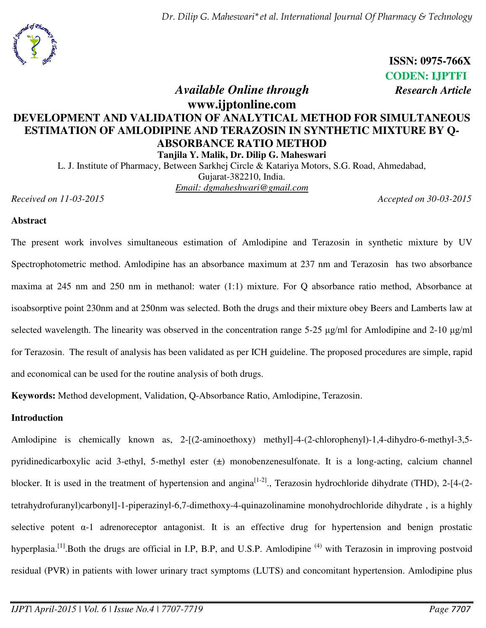*Dr. Dilip G. Maheswari\*et al. International Journal Of Pharmacy & Technology* 



 **ISSN: 0975-766X CODEN: IJPTFI**  *<i>Available Online through Research Article* 

# **www.ijptonline.com DEVELOPMENT AND VALIDATION OF ANALYTICAL METHOD FOR SIMULTANEOUS ESTIMATION OF AMLODIPINE AND TERAZOSIN IN SYNTHETIC MIXTURE BY Q-ABSORBANCE RATIO METHOD**

**Tanjila Y. Malik, Dr. Dilip G. Maheswari** 

L. J. Institute of Pharmacy, Between Sarkhej Circle & Katariya Motors, S.G. Road, Ahmedabad, Gujarat-382210, India. *Email: [dgmaheshwari@gmail.com](mailto:dgmaheshwari@gmail.com)* 

*Received on 11-03-2015 Accepted on 30-03-2015*

### **Abstract**

The present work involves simultaneous estimation of Amlodipine and Terazosin in synthetic mixture by UV Spectrophotometric method. Amlodipine has an absorbance maximum at 237 nm and Terazosin has two absorbance maxima at 245 nm and 250 nm in methanol: water (1:1) mixture. For Q absorbance ratio method, Absorbance at isoabsorptive point 230nm and at 250nm was selected. Both the drugs and their mixture obey Beers and Lamberts law at selected wavelength. The linearity was observed in the concentration range 5-25  $\mu$ g/ml for Amlodipine and 2-10  $\mu$ g/ml for Terazosin. The result of analysis has been validated as per ICH guideline. The proposed procedures are simple, rapid and economical can be used for the routine analysis of both drugs.

**Keywords:** Method development, Validation, Q-Absorbance Ratio, Amlodipine, Terazosin.

# **Introduction**

Amlodipine is chemically known as, 2-[(2-aminoethoxy) methyl]-4-(2-chlorophenyl)-1,4-dihydro-6-methyl-3,5pyridinedicarboxylic acid 3-ethyl, 5-methyl ester (±) monobenzenesulfonate. It is a long-acting, calcium channel blocker. It is used in the treatment of hypertension and angina<sup>[1-2]</sup>., Terazosin hydrochloride dihydrate (THD), 2-[4-(2tetrahydrofuranyl)carbonyl]-1-piperazinyl-6,7-dimethoxy-4-quinazolinamine monohydrochloride dihydrate , is a highly selective potent  $\alpha$ -1 adrenoreceptor antagonist. It is an effective drug for hypertension and benign prostatic hyperplasia.<sup>[1]</sup>.Both the drugs are official in I.P, B.P, and U.S.P. Amlodipine<sup>(4)</sup> with Terazosin in improving postvoid residual (PVR) in patients with lower urinary tract symptoms (LUTS) and concomitant hypertension. Amlodipine plus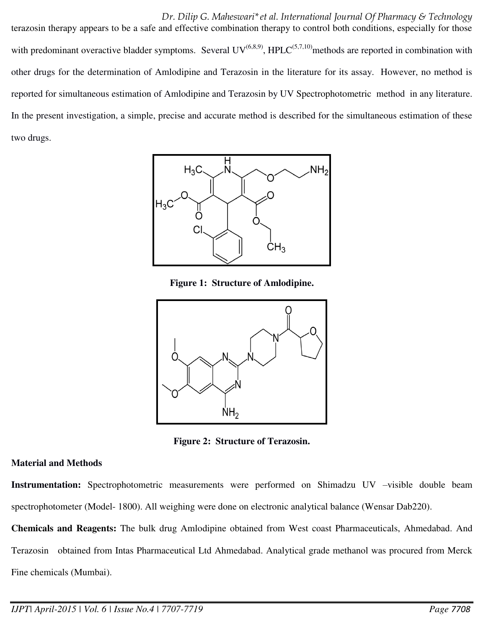### *Dr. Dilip G. Maheswari\*et al. International Journal Of Pharmacy & Technology*

terazosin therapy appears to be a safe and effective combination therapy to control both conditions, especially for those with predominant overactive bladder symptoms. Several  $UV^{(6,8,9)}$ , HPLC<sup>(5,7,10)</sup>methods are reported in combination with other drugs for the determination of Amlodipine and Terazosin in the literature for its assay. However, no method is reported for simultaneous estimation of Amlodipine and Terazosin by UV Spectrophotometric method in any literature. In the present investigation, a simple, precise and accurate method is described for the simultaneous estimation of these two drugs.



**Figure 1: Structure of Amlodipine.** 



**Figure 2: Structure of Terazosin.** 

# **Material and Methods**

**Instrumentation:** Spectrophotometric measurements were performed on Shimadzu UV –visible double beam spectrophotometer (Model- 1800). All weighing were done on electronic analytical balance (Wensar Dab220).

**Chemicals and Reagents:** The bulk drug Amlodipine obtained from West coast Pharmaceuticals, Ahmedabad. And Terazosin obtained from Intas Pharmaceutical Ltd Ahmedabad. Analytical grade methanol was procured from Merck Fine chemicals (Mumbai).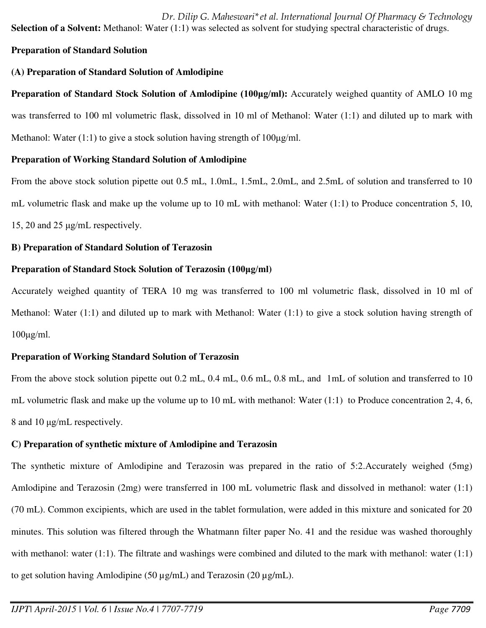*Dr. Dilip G. Maheswari\*et al. International Journal Of Pharmacy & Technology*  **Selection of a Solvent:** Methanol: Water (1:1) was selected as solvent for studying spectral characteristic of drugs.

# **Preparation of Standard Solution**

# **(A) Preparation of Standard Solution of Amlodipine**

**Preparation of Standard Stock Solution of Amlodipine (100μg/ml):** Accurately weighed quantity of AMLO 10 mg was transferred to 100 ml volumetric flask, dissolved in 10 ml of Methanol: Water (1:1) and diluted up to mark with Methanol: Water  $(1:1)$  to give a stock solution having strength of  $100\mu\text{g/ml}$ .

# **Preparation of Working Standard Solution of Amlodipine**

From the above stock solution pipette out 0.5 mL, 1.0mL, 1.5mL, 2.0mL, and 2.5mL of solution and transferred to 10 mL volumetric flask and make up the volume up to 10 mL with methanol: Water (1:1) to Produce concentration 5, 10, 15, 20 and 25  $\mu$ g/mL respectively.

# **B) Preparation of Standard Solution of Terazosin**

# **Preparation of Standard Stock Solution of Terazosin (100μg/ml)**

Accurately weighed quantity of TERA 10 mg was transferred to 100 ml volumetric flask, dissolved in 10 ml of Methanol: Water (1:1) and diluted up to mark with Methanol: Water (1:1) to give a stock solution having strength of  $100\mu g/ml$ .

# **Preparation of Working Standard Solution of Terazosin**

From the above stock solution pipette out 0.2 mL, 0.4 mL, 0.6 mL, 0.8 mL, and 1mL of solution and transferred to 10 mL volumetric flask and make up the volume up to 10 mL with methanol: Water  $(1:1)$  to Produce concentration 2, 4, 6, 8 and 10  $\mu$ g/mL respectively.

# **C) Preparation of synthetic mixture of Amlodipine and Terazosin**

The synthetic mixture of Amlodipine and Terazosin was prepared in the ratio of 5:2.Accurately weighed (5mg) Amlodipine and Terazosin (2mg) were transferred in 100 mL volumetric flask and dissolved in methanol: water (1:1) (70 mL). Common excipients, which are used in the tablet formulation, were added in this mixture and sonicated for 20 minutes. This solution was filtered through the Whatmann filter paper No. 41 and the residue was washed thoroughly with methanol: water (1:1). The filtrate and washings were combined and diluted to the mark with methanol: water (1:1) to get solution having Amlodipine (50  $\mu$ g/mL) and Terazosin (20  $\mu$ g/mL).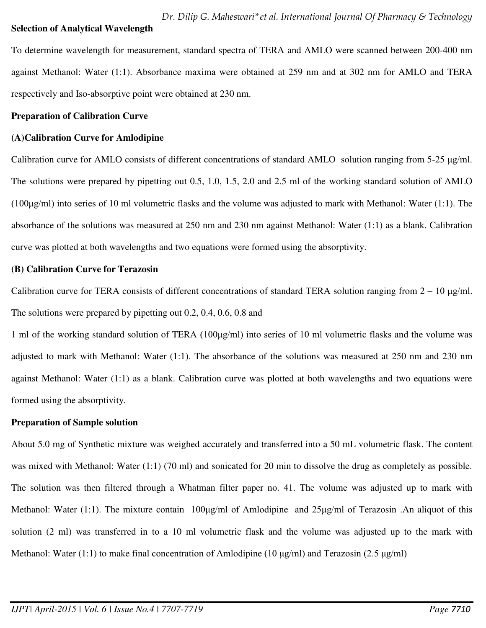#### **Selection of Analytical Wavelength**

To determine wavelength for measurement, standard spectra of TERA and AMLO were scanned between 200-400 nm against Methanol: Water (1:1). Absorbance maxima were obtained at 259 nm and at 302 nm for AMLO and TERA respectively and Iso-absorptive point were obtained at 230 nm.

### **Preparation of Calibration Curve**

### **(A)Calibration Curve for Amlodipine**

Calibration curve for AMLO consists of different concentrations of standard AMLO solution ranging from 5-25 µg/ml. The solutions were prepared by pipetting out 0.5, 1.0, 1.5, 2.0 and 2.5 ml of the working standard solution of AMLO (100 $\mu$ g/ml) into series of 10 ml volumetric flasks and the volume was adjusted to mark with Methanol: Water (1:1). The absorbance of the solutions was measured at 250 nm and 230 nm against Methanol: Water (1:1) as a blank. Calibration curve was plotted at both wavelengths and two equations were formed using the absorptivity.

### **(B) Calibration Curve for Terazosin**

Calibration curve for TERA consists of different concentrations of standard TERA solution ranging from  $2 - 10 \mu g/ml$ . The solutions were prepared by pipetting out 0.2, 0.4, 0.6, 0.8 and

1 ml of the working standard solution of TERA  $(100\mu g/ml)$  into series of 10 ml volumetric flasks and the volume was adjusted to mark with Methanol: Water (1:1). The absorbance of the solutions was measured at 250 nm and 230 nm against Methanol: Water (1:1) as a blank. Calibration curve was plotted at both wavelengths and two equations were formed using the absorptivity.

# **Preparation of Sample solution**

About 5.0 mg of Synthetic mixture was weighed accurately and transferred into a 50 mL volumetric flask. The content was mixed with Methanol: Water (1:1) (70 ml) and sonicated for 20 min to dissolve the drug as completely as possible. The solution was then filtered through a Whatman filter paper no. 41. The volume was adjusted up to mark with Methanol: Water (1:1). The mixture contain 100µg/ml of Amlodipine and 25µg/ml of Terazosin .An aliquot of this solution (2 ml) was transferred in to a 10 ml volumetric flask and the volume was adjusted up to the mark with Methanol: Water (1:1) to make final concentration of Amlodipine (10  $\mu$ g/ml) and Terazosin (2.5  $\mu$ g/ml)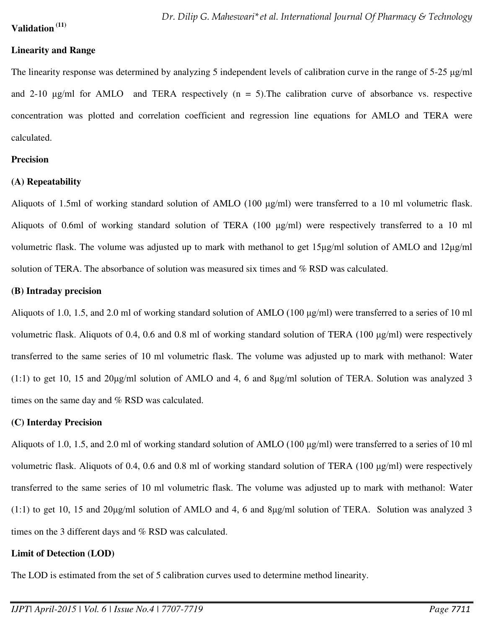### **Validation (11)**

### **Linearity and Range**

The linearity response was determined by analyzing 5 independent levels of calibration curve in the range of  $5-25 \mu g/ml$ and 2-10  $\mu$ g/ml for AMLO and TERA respectively (n = 5). The calibration curve of absorbance vs. respective concentration was plotted and correlation coefficient and regression line equations for AMLO and TERA were calculated.

#### **Precision**

#### **(A) Repeatability**

Aliquots of 1.5ml of working standard solution of AMLO (100  $\mu$ g/ml) were transferred to a 10 ml volumetric flask. Aliquots of 0.6ml of working standard solution of TERA (100  $\mu$ g/ml) were respectively transferred to a 10 ml volumetric flask. The volume was adjusted up to mark with methanol to get 15µg/ml solution of AMLO and 12µg/ml solution of TERA. The absorbance of solution was measured six times and % RSD was calculated.

#### **(B) Intraday precision**

Aliquots of 1.0, 1.5, and 2.0 ml of working standard solution of AMLO (100 µg/ml) were transferred to a series of 10 ml volumetric flask. Aliquots of 0.4, 0.6 and 0.8 ml of working standard solution of TERA (100  $\mu$ g/ml) were respectively transferred to the same series of 10 ml volumetric flask. The volume was adjusted up to mark with methanol: Water (1:1) to get 10, 15 and 20 $\mu$ g/ml solution of AMLO and 4, 6 and 8 $\mu$ g/ml solution of TERA. Solution was analyzed 3 times on the same day and % RSD was calculated.

#### **(C) Interday Precision**

Aliquots of 1.0, 1.5, and 2.0 ml of working standard solution of AMLO (100 µg/ml) were transferred to a series of 10 ml volumetric flask. Aliquots of 0.4, 0.6 and 0.8 ml of working standard solution of TERA (100  $\mu$ g/ml) were respectively transferred to the same series of 10 ml volumetric flask. The volume was adjusted up to mark with methanol: Water (1:1) to get 10, 15 and 20 $\mu$ g/ml solution of AMLO and 4, 6 and 8 $\mu$ g/ml solution of TERA. Solution was analyzed 3 times on the 3 different days and % RSD was calculated.

#### **Limit of Detection (LOD)**

The LOD is estimated from the set of 5 calibration curves used to determine method linearity.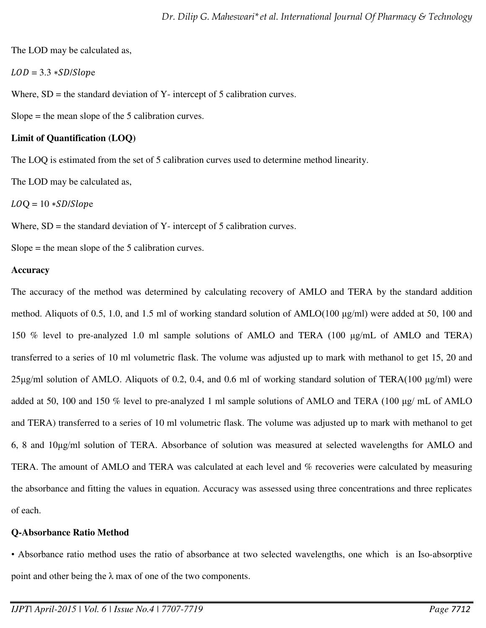The LOD may be calculated as,

 $LOD = 3.3 * SD/Slope$ 

Where,  $SD$  = the standard deviation of Y- intercept of 5 calibration curves.

Slope  $=$  the mean slope of the 5 calibration curves.

# **Limit of Quantification (LOQ)**

The LOQ is estimated from the set of 5 calibration curves used to determine method linearity.

The LOD may be calculated as,

 $LOQ = 10 * SD/Slope$ 

Where,  $SD =$  the standard deviation of Y- intercept of 5 calibration curves.

Slope = the mean slope of the 5 calibration curves.

# **Accuracy**

The accuracy of the method was determined by calculating recovery of AMLO and TERA by the standard addition method. Aliquots of 0.5, 1.0, and 1.5 ml of working standard solution of AMLO(100 µg/ml) were added at 50, 100 and 150 % level to pre-analyzed 1.0 ml sample solutions of AMLO and TERA (100 µg/mL of AMLO and TERA) transferred to a series of 10 ml volumetric flask. The volume was adjusted up to mark with methanol to get 15, 20 and  $25\mu$ g/ml solution of AMLO. Aliquots of 0.2, 0.4, and 0.6 ml of working standard solution of TERA(100  $\mu$ g/ml) were added at 50, 100 and 150 % level to pre-analyzed 1 ml sample solutions of AMLO and TERA (100 µg/ mL of AMLO and TERA) transferred to a series of 10 ml volumetric flask. The volume was adjusted up to mark with methanol to get 6, 8 and 10ȝg/ml solution of TERA. Absorbance of solution was measured at selected wavelengths for AMLO and TERA. The amount of AMLO and TERA was calculated at each level and % recoveries were calculated by measuring the absorbance and fitting the values in equation. Accuracy was assessed using three concentrations and three replicates of each.

# **Q-Absorbance Ratio Method**

• Absorbance ratio method uses the ratio of absorbance at two selected wavelengths, one which is an Iso-absorptive point and other being the  $\lambda$  max of one of the two components.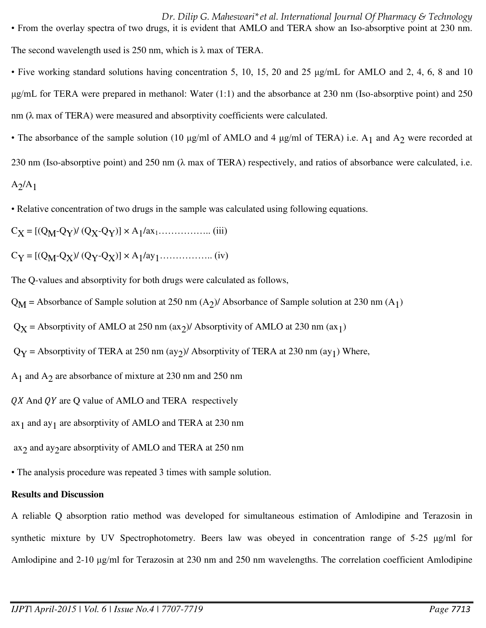*Dr. Dilip G. Maheswari\*et al. International Journal Of Pharmacy & Technology*  • From the overlay spectra of two drugs, it is evident that AMLO and TERA show an Iso-absorptive point at 230 nm. The second wavelength used is 250 nm, which is  $\lambda$  max of TERA.

• Five working standard solutions having concentration 5, 10, 15, 20 and 25 µg/mL for AMLO and 2, 4, 6, 8 and 10 ȝg/mL for TERA were prepared in methanol: Water (1:1) and the absorbance at 230 nm (Iso-absorptive point) and 250 nm  $(\lambda$  max of TERA) were measured and absorptivity coefficients were calculated.

• The absorbance of the sample solution (10  $\mu$ g/ml of AMLO and 4  $\mu$ g/ml of TERA) i.e. A<sub>1</sub> and A<sub>2</sub> were recorded at 230 nm (Iso-absorptive point) and 250 nm ( $\lambda$  max of TERA) respectively, and ratios of absorbance were calculated, i.e.  $A_2/A_1$ 

• Relative concentration of two drugs in the sample was calculated using following equations.

CX = [(QM-QY)/ (QX-QY)] × A1 /ax1…………….. (iii)

CY = [(QM-QX)/ (QY-QX)] × A1 /ay1…………….. (iv)

The Q-values and absorptivity for both drugs were calculated as follows,

 $Q_M$  = Absorbance of Sample solution at 250 nm  $(A_2)$ / Absorbance of Sample solution at 230 nm  $(A_1)$ 

 $Q_X$  = Absorptivity of AMLO at 250 nm (ax<sub>2</sub>)/ Absorptivity of AMLO at 230 nm (ax<sub>1</sub>)

 $Q<sub>Y</sub>$  = Absorptivity of TERA at 250 nm (ay<sub>2</sub>)/ Absorptivity of TERA at 230 nm (ay<sub>1</sub>) Where,

A1 and A2 are absorbance of mixture at 230 nm and 250 nm

 $\overline{Q}X$  And  $\overline{Q}Y$  are  $\overline{Q}$  value of AMLO and TERA respectively

 $ax_1$  and  $ay_1$  are absorptivity of AMLO and TERA at 230 nm

ax2 and ay2 are absorptivity of AMLO and TERA at 250 nm

• The analysis procedure was repeated 3 times with sample solution.

# **Results and Discussion**

A reliable Q absorption ratio method was developed for simultaneous estimation of Amlodipine and Terazosin in synthetic mixture by UV Spectrophotometry. Beers law was obeyed in concentration range of  $5-25 \mu g/ml$  for Amlodipine and 2-10 µg/ml for Terazosin at 230 nm and 250 nm wavelengths. The correlation coefficient Amlodipine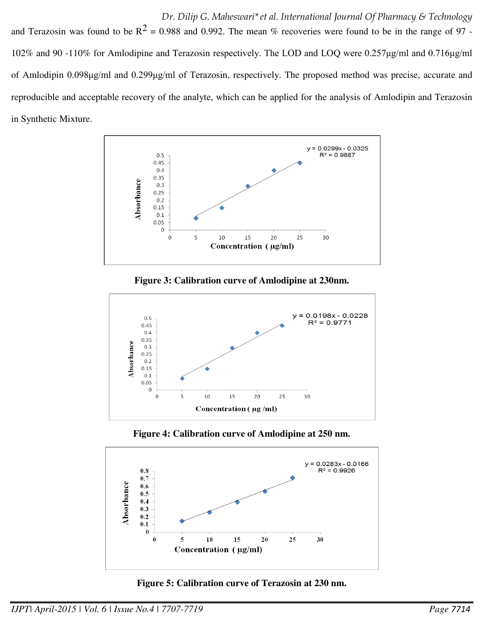and Terazosin was found to be  $R^2 = 0.988$  and 0.992. The mean % recoveries were found to be in the range of 97 -102% and 90 -110% for Amlodipine and Terazosin respectively. The LOD and LOQ were 0.257µg/ml and 0.716µg/ml of Amlodipin 0.098μg/ml and 0.299μg/ml of Terazosin, respectively. The proposed method was precise, accurate and reproducible and acceptable recovery of the analyte, which can be applied for the analysis of Amlodipin and Terazosin in Synthetic Mixture.



**Figure 3: Calibration curve of Amlodipine at 230nm.** 



**Figure 4: Calibration curve of Amlodipine at 250 nm.** 



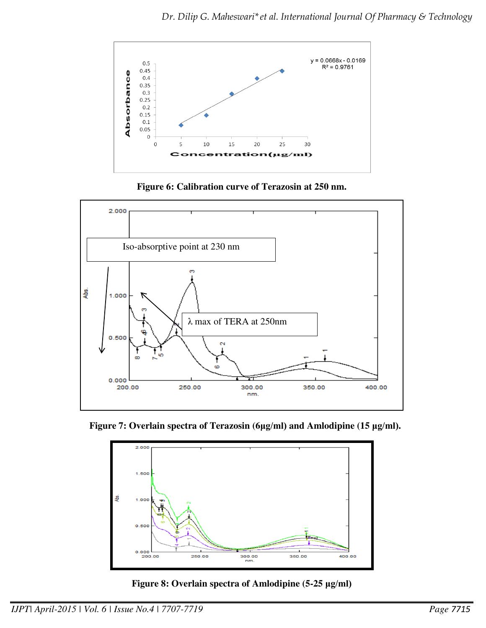

**Figure 6: Calibration curve of Terazosin at 250 nm.** 



 **Figure 7: Overlain spectra of Terazosin (6μg/ml) and Amlodipine (15 μg/ml).**



**Figure 8: Overlain spectra of Amlodipine (5-25 μg/ml)**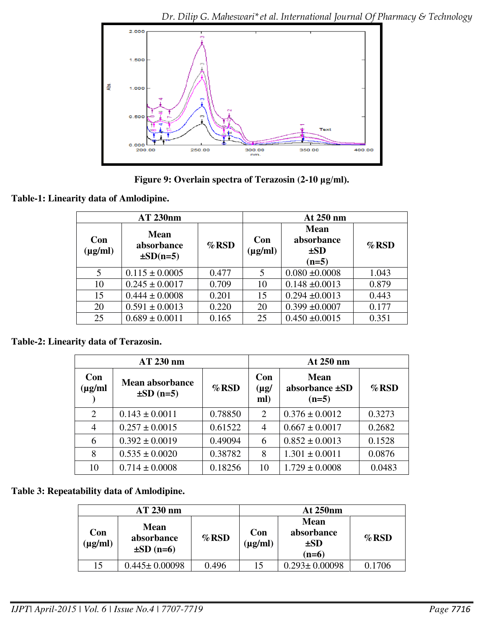

**Figure 9: Overlain spectra of Terazosin (2-10 μg/ml).** 

**Table-1: Linearity data of Amlodipine.** 

| <b>AT 230nm</b>     |                                            |          | At 250 nm                                                               |                    |          |  |
|---------------------|--------------------------------------------|----------|-------------------------------------------------------------------------|--------------------|----------|--|
| Con<br>$(\mu g/ml)$ | <b>Mean</b><br>absorbance<br>$\pm SD(n=5)$ | $\%$ RSD | <b>Mean</b><br>absorbance<br>Con<br>$(\mu g/ml)$<br>$\pm SD$<br>$(n=5)$ |                    | $\%$ RSD |  |
| 5 <sup>5</sup>      | $0.115 \pm 0.0005$                         | 0.477    | 5                                                                       | $0.080 \pm 0.0008$ | 1.043    |  |
| 10                  | $0.245 \pm 0.0017$                         | 0.709    | 10                                                                      | $0.148 \pm 0.0013$ | 0.879    |  |
| 15                  | $0.444 \pm 0.0008$                         | 0.201    | 15                                                                      | $0.294 \pm 0.0013$ | 0.443    |  |
| 20                  | $0.591 \pm 0.0013$                         | 0.220    | 20                                                                      | $0.399 \pm 0.0007$ | 0.177    |  |
| 25                  | $0.689 \pm 0.0011$                         | 0.165    | 25                                                                      | $0.450 \pm 0.0015$ | 0.351    |  |

# **Table-2: Linearity data of Terazosin.**

| AT 230 nm          |                                          |          | At 250 nm               |                                               |          |  |
|--------------------|------------------------------------------|----------|-------------------------|-----------------------------------------------|----------|--|
| Con<br>$(\mu$ g/ml | <b>Mean absorbance</b><br>$\pm SD$ (n=5) | $\%$ RSD | Con<br>$(\mu g)$<br>ml) | <b>Mean</b><br>absorbance $\pm SD$<br>$(n=5)$ | $\%$ RSD |  |
| $\overline{2}$     | $0.143 \pm 0.0011$                       | 0.78850  | 2                       | $0.376 \pm 0.0012$                            | 0.3273   |  |
| 4                  | $0.257 \pm 0.0015$                       | 0.61522  | 4                       | $0.667 \pm 0.0017$                            | 0.2682   |  |
| 6                  | $0.392 \pm 0.0019$                       | 0.49094  | 6                       | $0.852 \pm 0.0013$                            | 0.1528   |  |
| 8                  | $0.535 \pm 0.0020$                       | 0.38782  | 8                       | $1.301 \pm 0.0011$                            | 0.0876   |  |
| 10                 | $0.714 \pm 0.0008$                       | 0.18256  | 10                      | $1.729 \pm 0.0008$                            | 0.0483   |  |

# **Table 3: Repeatability data of Amlodipine.**

| AT 230 nm           |                                             |         | <b>At 250nm</b>     |                                                  |          |
|---------------------|---------------------------------------------|---------|---------------------|--------------------------------------------------|----------|
| Con<br>$(\mu g/ml)$ | <b>Mean</b><br>absorbance<br>$\pm SD$ (n=6) | $%$ RSD | Con<br>$(\mu g/ml)$ | <b>Mean</b><br>absorbance<br>$\pm SD$<br>$(n=6)$ | $\%$ RSD |
| 15                  | $0.445 \pm 0.00098$                         | 0.496   | 15                  | $0.293 \pm 0.00098$                              | 0.1706   |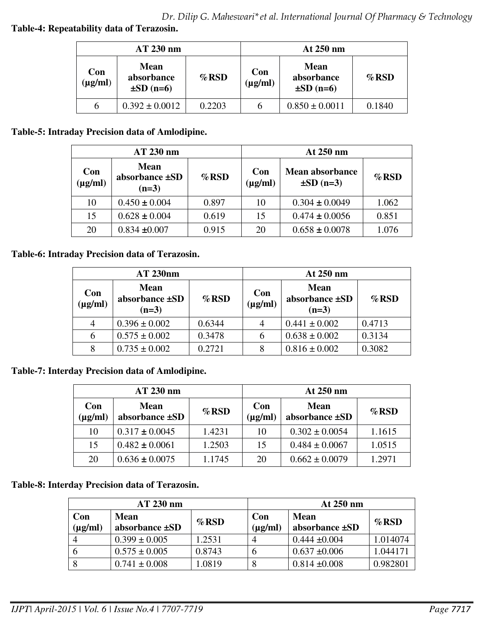**Table-4: Repeatability data of Terazosin.** 

| AT 230 nm           |                                             |         | At 250 nm           |                                             |          |
|---------------------|---------------------------------------------|---------|---------------------|---------------------------------------------|----------|
| Con<br>$(\mu g/ml)$ | <b>Mean</b><br>absorbance<br>$\pm SD$ (n=6) | $%$ RSD | Con<br>$(\mu g/ml)$ | <b>Mean</b><br>absorbance<br>$\pm SD$ (n=6) | $\%$ RSD |
| 6                   | $0.392 \pm 0.0012$                          | 0.2203  | h                   | $0.850 \pm 0.0011$                          | 0.1840   |

# **Table-5: Intraday Precision data of Amlodipine.**

| AT 230 nm           |                                          |          | At 250 nm           |                                          |          |  |
|---------------------|------------------------------------------|----------|---------------------|------------------------------------------|----------|--|
| Con<br>$(\mu g/ml)$ | <b>Mean</b><br>absorbance ±SD<br>$(n=3)$ | $\%$ RSD | Con<br>$(\mu g/ml)$ | <b>Mean absorbance</b><br>$\pm SD$ (n=3) | $\%$ RSD |  |
| 10                  | $0.450 \pm 0.004$                        | 0.897    | 10                  | $0.304 \pm 0.0049$                       | 1.062    |  |
| 15                  | $0.628 \pm 0.004$                        | 0.619    | 15                  | $0.474 \pm 0.0056$                       | 0.851    |  |
| 20                  | $0.834 \pm 0.007$                        | 0.915    | 20                  | $0.658 \pm 0.0078$                       | 1.076    |  |

# **Table-6: Intraday Precision data of Terazosin.**

| AT 230nm            |                                          |          | At 250 nm           |                                          |          |  |
|---------------------|------------------------------------------|----------|---------------------|------------------------------------------|----------|--|
| Con<br>$(\mu g/ml)$ | <b>Mean</b><br>absorbance ±SD<br>$(n=3)$ | $\%$ RSD | Con<br>$(\mu g/ml)$ | <b>Mean</b><br>absorbance ±SD<br>$(n=3)$ | $\%$ RSD |  |
| $\overline{4}$      | $0.396 \pm 0.002$                        | 0.6344   | 4                   | $0.441 \pm 0.002$                        | 0.4713   |  |
| 6                   | $0.575 \pm 0.002$                        | 0.3478   | 6                   | $0.638 \pm 0.002$                        | 0.3134   |  |
| 8                   | $0.735 \pm 0.002$                        | 0.2721   | 8                   | $0.816 \pm 0.002$                        | 0.3082   |  |

# **Table-7: Interday Precision data of Amlodipine.**

| AT 230 nm           |                               |          | At 250 nm           |                               |          |  |
|---------------------|-------------------------------|----------|---------------------|-------------------------------|----------|--|
| Con<br>$(\mu g/ml)$ | <b>Mean</b><br>absorbance ±SD | $\%$ RSD | Con<br>$(\mu g/ml)$ | <b>Mean</b><br>absorbance ±SD | $\%$ RSD |  |
| 10                  | $0.317 \pm 0.0045$            | 1.4231   | 10                  | $0.302 \pm 0.0054$            | 1.1615   |  |
| 15                  | $0.482 \pm 0.0061$            | 1.2503   | 15                  | $0.484 \pm 0.0067$            | 1.0515   |  |
| 20                  | $0.636 \pm 0.0075$            | 1.1745   | 20                  | $0.662 \pm 0.0079$            | 1.2971   |  |

# **Table-8: Interday Precision data of Terazosin.**

| $AT 230$ nm         |                                    |          | At 250 nm           |                                    |          |
|---------------------|------------------------------------|----------|---------------------|------------------------------------|----------|
| Con<br>$(\mu g/ml)$ | <b>Mean</b><br>absorbance $\pm SD$ | $\%$ RSD | Con<br>$(\mu g/ml)$ | <b>Mean</b><br>absorbance $\pm SD$ | $\%$ RSD |
| 4                   | $0.399 \pm 0.005$                  | 1.2531   | 4                   | $0.444 \pm 0.004$                  | 1.014074 |
|                     | $0.575 \pm 0.005$                  | 0.8743   | b                   | $0.637 \pm 0.006$                  | 1.044171 |
|                     | $0.741 \pm 0.008$                  | 1.0819   | 8                   | $0.814 \pm 0.008$                  | 0.982801 |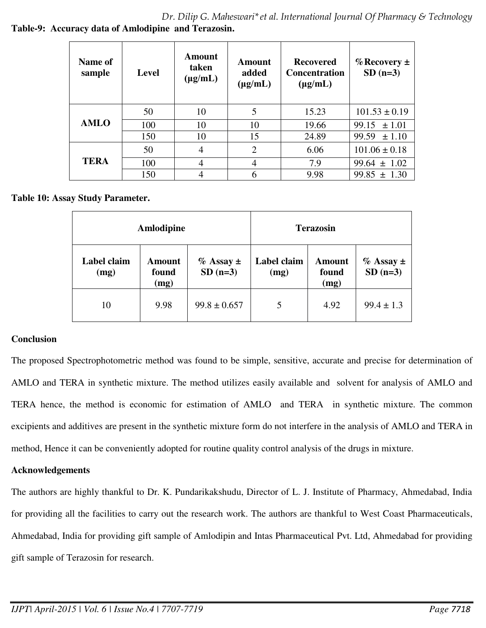*Dr. Dilip G. Maheswari\*et al. International Journal Of Pharmacy & Technology*  **Table-9: Accuracy data of Amlodipine and Terazosin.** 

| Name of<br>sample | Level | Amount<br>taken<br>$(\mu g/mL)$ | <b>Amount</b><br>added<br>$(\mu g/mL)$ | <b>Recovered</b><br><b>Concentration</b><br>$(\mu g/mL)$ | $\%$ Recovery $\pm$<br>$SD(n=3)$ |
|-------------------|-------|---------------------------------|----------------------------------------|----------------------------------------------------------|----------------------------------|
|                   | 50    | 10                              | 5                                      | 15.23                                                    | $101.53 \pm 0.19$                |
| <b>AMLO</b>       | 100   | 10                              | 10                                     | 19.66                                                    | 99.15<br>± 1.01                  |
|                   | 150   | 10                              | 15                                     | 24.89                                                    | 99.59<br>± 1.10                  |
| <b>TERA</b>       | 50    | 4                               | $\overline{2}$                         | 6.06                                                     | $101.06 \pm 0.18$                |
|                   | 100   | 4                               | 4                                      | 7.9                                                      | $99.64 \pm 1.02$                 |
|                   | 150   | 4                               | 6                                      | 9.98                                                     | $99.85 \pm 1.30$                 |

**Table 10: Assay Study Parameter.** 

|                     | Amlodipine              |                               | <b>Terazosin</b>    |                                |                               |
|---------------------|-------------------------|-------------------------------|---------------------|--------------------------------|-------------------------------|
| Label claim<br>(mg) | Amount<br>found<br>(mg) | $\%$ Assay $\pm$<br>$SD(n=3)$ | Label claim<br>(mg) | <b>Amount</b><br>found<br>(mg) | $\%$ Assay $\pm$<br>$SD(n=3)$ |
| 10                  | 9.98                    | $99.8 \pm 0.657$              | 5                   | 4.92                           | $99.4 \pm 1.3$                |

# **Conclusion**

The proposed Spectrophotometric method was found to be simple, sensitive, accurate and precise for determination of AMLO and TERA in synthetic mixture. The method utilizes easily available and solvent for analysis of AMLO and TERA hence, the method is economic for estimation of AMLO and TERA in synthetic mixture. The common excipients and additives are present in the synthetic mixture form do not interfere in the analysis of AMLO and TERA in method, Hence it can be conveniently adopted for routine quality control analysis of the drugs in mixture.

# **Acknowledgements**

The authors are highly thankful to Dr. K. Pundarikakshudu, Director of L. J. Institute of Pharmacy, Ahmedabad, India for providing all the facilities to carry out the research work. The authors are thankful to West Coast Pharmaceuticals, Ahmedabad, India for providing gift sample of Amlodipin and Intas Pharmaceutical Pvt. Ltd, Ahmedabad for providing gift sample of Terazosin for research.